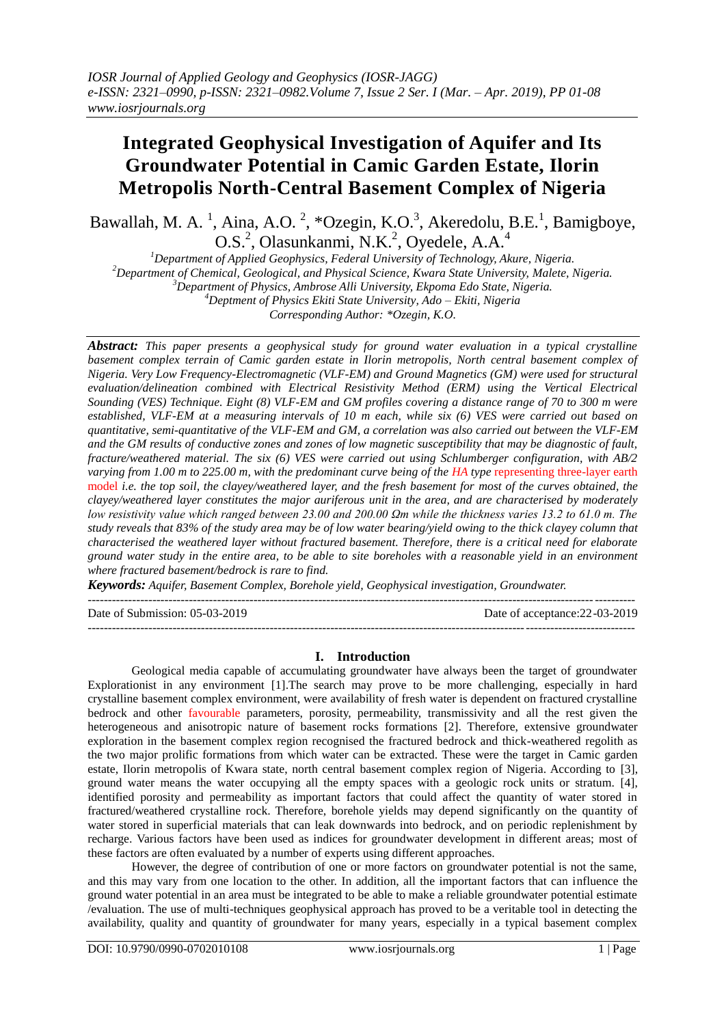# **Integrated Geophysical Investigation of Aquifer and Its Groundwater Potential in Camic Garden Estate, Ilorin Metropolis North-Central Basement Complex of Nigeria**

Bawallah, M. A.<sup>1</sup>, Aina, A.O.<sup>2</sup>, \*Ozegin, K.O.<sup>3</sup>, Akeredolu, B.E.<sup>1</sup>, Bamigboye, O.S.<sup>2</sup>, Olasunkanmi, N.K.<sup>2</sup>, Oyedele, A.A.<sup>4</sup>

*Department of Applied Geophysics, Federal University of Technology, Akure, Nigeria. Department of Chemical, Geological, and Physical Science, Kwara State University, Malete, Nigeria. Department of Physics, Ambrose Alli University, Ekpoma Edo State, Nigeria. Deptment of Physics Ekiti State University, Ado – Ekiti, Nigeria Corresponding Author: \*Ozegin, K.O.*

*Abstract: This paper presents a geophysical study for ground water evaluation in a typical crystalline basement complex terrain of Camic garden estate in Ilorin metropolis, North central basement complex of Nigeria. Very Low Frequency-Electromagnetic (VLF-EM) and Ground Magnetics (GM) were used for structural evaluation/delineation combined with Electrical Resistivity Method (ERM) using the Vertical Electrical Sounding (VES) Technique. Eight (8) VLF-EM and GM profiles covering a distance range of 70 to 300 m were established, VLF-EM at a measuring intervals of 10 m each, while six (6) VES were carried out based on quantitative, semi-quantitative of the VLF-EM and GM, a correlation was also carried out between the VLF-EM and the GM results of conductive zones and zones of low magnetic susceptibility that may be diagnostic of fault, fracture/weathered material. The six (6) VES were carried out using Schlumberger configuration, with AB/2 varying from 1.00 m to 225.00 m, with the predominant curve being of the HA type representing three-layer earth* model *i.e. the top soil, the clayey/weathered layer, and the fresh basement for most of the curves obtained, the clayey/weathered layer constitutes the major auriferous unit in the area, and are characterised by moderately low resistivity value which ranged between 23.00 and 200.00 Ωm while the thickness varies 13.2 to 61.0 m. The study reveals that 83% of the study area may be of low water bearing/yield owing to the thick clayey column that characterised the weathered layer without fractured basement. Therefore, there is a critical need for elaborate ground water study in the entire area, to be able to site boreholes with a reasonable yield in an environment where fractured basement/bedrock is rare to find.*

*Keywords: Aquifer, Basement Complex, Borehole yield, Geophysical investigation, Groundwater.*  $-1\leq i\leq n-1$ 

---------------------------------------------------------------------------------------------------------------------------------------

Date of Submission: 05-03-2019 Date of acceptance: 22-03-2019

## **I. Introduction**

Geological media capable of accumulating groundwater have always been the target of groundwater Explorationist in any environment [1].The search may prove to be more challenging, especially in hard crystalline basement complex environment, were availability of fresh water is dependent on fractured crystalline bedrock and other favourable parameters, porosity, permeability, transmissivity and all the rest given the heterogeneous and anisotropic nature of basement rocks formations [2]. Therefore, extensive groundwater exploration in the basement complex region recognised the fractured bedrock and thick-weathered regolith as the two major prolific formations from which water can be extracted. These were the target in Camic garden estate, Ilorin metropolis of Kwara state, north central basement complex region of Nigeria. According to [3], ground water means the water occupying all the empty spaces with a geologic rock units or stratum. [4], identified porosity and permeability as important factors that could affect the quantity of water stored in fractured/weathered crystalline rock. Therefore, borehole yields may depend significantly on the quantity of water stored in superficial materials that can leak downwards into bedrock, and on periodic replenishment by recharge. Various factors have been used as indices for groundwater development in different areas; most of these factors are often evaluated by a number of experts using different approaches.

However, the degree of contribution of one or more factors on groundwater potential is not the same, and this may vary from one location to the other. In addition, all the important factors that can influence the ground water potential in an area must be integrated to be able to make a reliable groundwater potential estimate /evaluation. The use of multi-techniques geophysical approach has proved to be a veritable tool in detecting the availability, quality and quantity of groundwater for many years, especially in a typical basement complex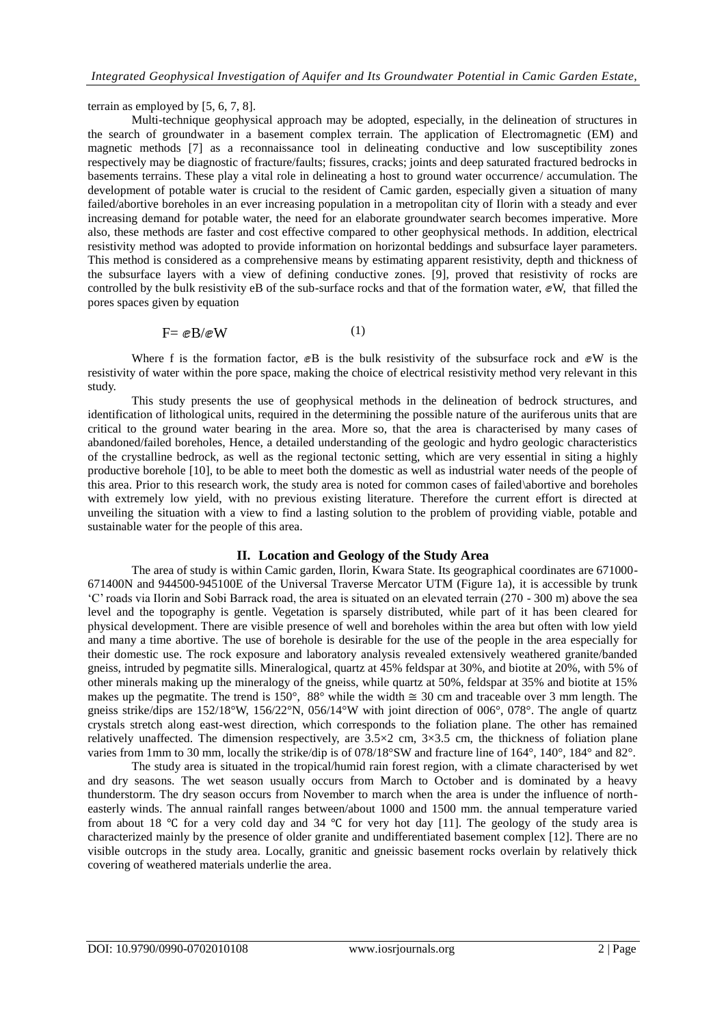terrain as employed by [5, 6, 7, 8].

Multi-technique geophysical approach may be adopted, especially, in the delineation of structures in the search of groundwater in a basement complex terrain. The application of Electromagnetic (EM) and magnetic methods [7] as a reconnaissance tool in delineating conductive and low susceptibility zones respectively may be diagnostic of fracture/faults; fissures, cracks; joints and deep saturated fractured bedrocks in basements terrains. These play a vital role in delineating a host to ground water occurrence/ accumulation. The development of potable water is crucial to the resident of Camic garden, especially given a situation of many failed/abortive boreholes in an ever increasing population in a metropolitan city of Ilorin with a steady and ever increasing demand for potable water, the need for an elaborate groundwater search becomes imperative. More also, these methods are faster and cost effective compared to other geophysical methods. In addition, electrical resistivity method was adopted to provide information on horizontal beddings and subsurface layer parameters. This method is considered as a comprehensive means by estimating apparent resistivity, depth and thickness of the subsurface layers with a view of defining conductive zones. [9], proved that resistivity of rocks are controlled by the bulk resistivity eB of the sub-surface rocks and that of the formation water, ⅇW, that filled the pores spaces given by equation

$$
F = eB/eW \tag{1}
$$

Where f is the formation factor,  $\mathcal{C}B$  is the bulk resistivity of the subsurface rock and  $\mathcal{C}W$  is the resistivity of water within the pore space, making the choice of electrical resistivity method very relevant in this study.

This study presents the use of geophysical methods in the delineation of bedrock structures, and identification of lithological units, required in the determining the possible nature of the auriferous units that are critical to the ground water bearing in the area. More so, that the area is characterised by many cases of abandoned/failed boreholes, Hence, a detailed understanding of the geologic and hydro geologic characteristics of the crystalline bedrock, as well as the regional tectonic setting, which are very essential in siting a highly productive borehole [10], to be able to meet both the domestic as well as industrial water needs of the people of this area. Prior to this research work, the study area is noted for common cases of failed\abortive and boreholes with extremely low yield, with no previous existing literature. Therefore the current effort is directed at unveiling the situation with a view to find a lasting solution to the problem of providing viable, potable and sustainable water for the people of this area.

#### **II. Location and Geology of the Study Area**

The area of study is within Camic garden, Ilorin, Kwara State. Its geographical coordinates are 671000- 671400N and 944500-945100E of the Universal Traverse Mercator UTM (Figure 1a), it is accessible by trunk "C" roads via Ilorin and Sobi Barrack road, the area is situated on an elevated terrain (270 - 300 m) above the sea level and the topography is gentle. Vegetation is sparsely distributed, while part of it has been cleared for physical development. There are visible presence of well and boreholes within the area but often with low yield and many a time abortive. The use of borehole is desirable for the use of the people in the area especially for their domestic use. The rock exposure and laboratory analysis revealed extensively weathered granite/banded gneiss, intruded by pegmatite sills. Mineralogical, quartz at 45% feldspar at 30%, and biotite at 20%, with 5% of other minerals making up the mineralogy of the gneiss, while quartz at 50%, feldspar at 35% and biotite at 15% makes up the pegmatite. The trend is  $150^\circ$ ,  $88^\circ$  while the width  $\approx$  30 cm and traceable over 3 mm length. The gneiss strike/dips are 152/18°W, 156/22°N, 056/14°W with joint direction of 006°, 078°. The angle of quartz crystals stretch along east-west direction, which corresponds to the foliation plane. The other has remained relatively unaffected. The dimension respectively, are  $3.5 \times 2$  cm,  $3 \times 3.5$  cm, the thickness of foliation plane varies from 1mm to 30 mm, locally the strike/dip is of 078/18°SW and fracture line of 164°, 140°, 184° and 82°.

The study area is situated in the tropical/humid rain forest region, with a climate characterised by wet and dry seasons. The wet season usually occurs from March to October and is dominated by a heavy thunderstorm. The dry season occurs from November to march when the area is under the influence of northeasterly winds. The annual rainfall ranges between/about 1000 and 1500 mm. the annual temperature varied from about 18 ℃ for a very cold day and 34 ℃ for very hot day [11]. The geology of the study area is characterized mainly by the presence of older granite and undifferentiated basement complex [12]. There are no visible outcrops in the study area. Locally, granitic and gneissic basement rocks overlain by relatively thick covering of weathered materials underlie the area.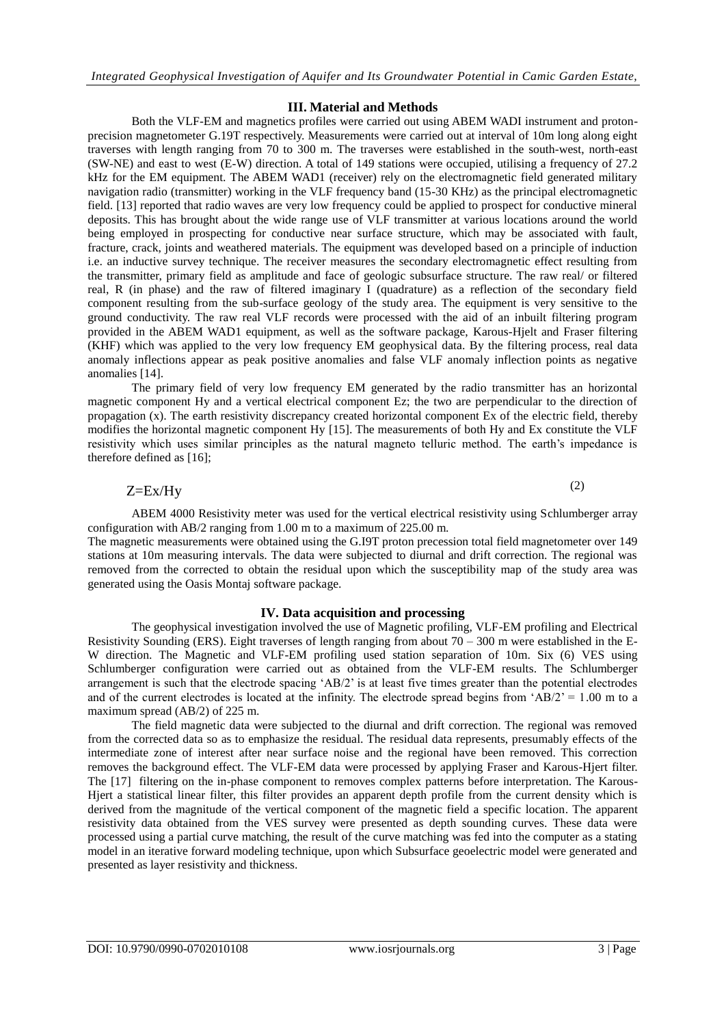### **III. Material and Methods**

Both the VLF-EM and magnetics profiles were carried out using ABEM WADI instrument and protonprecision magnetometer G.19T respectively. Measurements were carried out at interval of 10m long along eight traverses with length ranging from 70 to 300 m. The traverses were established in the south-west, north-east (SW-NE) and east to west (E-W) direction. A total of 149 stations were occupied, utilising a frequency of 27.2 kHz for the EM equipment. The ABEM WAD1 (receiver) rely on the electromagnetic field generated military navigation radio (transmitter) working in the VLF frequency band (15-30 KHz) as the principal electromagnetic field. [13] reported that radio waves are very low frequency could be applied to prospect for conductive mineral deposits. This has brought about the wide range use of VLF transmitter at various locations around the world being employed in prospecting for conductive near surface structure, which may be associated with fault, fracture, crack, joints and weathered materials. The equipment was developed based on a principle of induction i.e. an inductive survey technique. The receiver measures the secondary electromagnetic effect resulting from the transmitter, primary field as amplitude and face of geologic subsurface structure. The raw real/ or filtered real, R (in phase) and the raw of filtered imaginary I (quadrature) as a reflection of the secondary field component resulting from the sub-surface geology of the study area. The equipment is very sensitive to the ground conductivity. The raw real VLF records were processed with the aid of an inbuilt filtering program provided in the ABEM WAD1 equipment, as well as the software package, Karous-Hjelt and Fraser filtering (KHF) which was applied to the very low frequency EM geophysical data. By the filtering process, real data anomaly inflections appear as peak positive anomalies and false VLF anomaly inflection points as negative anomalies [14].

The primary field of very low frequency EM generated by the radio transmitter has an horizontal magnetic component Hy and a vertical electrical component Ez; the two are perpendicular to the direction of propagation (x). The earth resistivity discrepancy created horizontal component Ex of the electric field, thereby modifies the horizontal magnetic component Hy [15]. The measurements of both Hy and Ex constitute the VLF resistivity which uses similar principles as the natural magneto telluric method. The earth's impedance is therefore defined as [16];

Z=Ex/Hy

(2)

ABEM 4000 Resistivity meter was used for the vertical electrical resistivity using Schlumberger array configuration with AB/2 ranging from 1.00 m to a maximum of 225.00 m.

The magnetic measurements were obtained using the G.I9T proton precession total field magnetometer over 149 stations at 10m measuring intervals. The data were subjected to diurnal and drift correction. The regional was removed from the corrected to obtain the residual upon which the susceptibility map of the study area was generated using the Oasis Montaj software package.

#### **IV. Data acquisition and processing**

The geophysical investigation involved the use of Magnetic profiling, VLF-EM profiling and Electrical Resistivity Sounding (ERS). Eight traverses of length ranging from about 70 – 300 m were established in the E-W direction. The Magnetic and VLF-EM profiling used station separation of 10m. Six (6) VES using Schlumberger configuration were carried out as obtained from the VLF-EM results. The Schlumberger arrangement is such that the electrode spacing "AB/2" is at least five times greater than the potential electrodes and of the current electrodes is located at the infinity. The electrode spread begins from  $AB/2$ <sup>2</sup> = 1.00 m to a maximum spread (AB/2) of 225 m.

The field magnetic data were subjected to the diurnal and drift correction. The regional was removed from the corrected data so as to emphasize the residual. The residual data represents, presumably effects of the intermediate zone of interest after near surface noise and the regional have been removed. This correction removes the background effect. The VLF-EM data were processed by applying Fraser and Karous-Hjert filter. The [17] filtering on the in-phase component to removes complex patterns before interpretation. The Karous-Hjert a statistical linear filter, this filter provides an apparent depth profile from the current density which is derived from the magnitude of the vertical component of the magnetic field a specific location. The apparent resistivity data obtained from the VES survey were presented as depth sounding curves. These data were processed using a partial curve matching, the result of the curve matching was fed into the computer as a stating model in an iterative forward modeling technique, upon which Subsurface geoelectric model were generated and presented as layer resistivity and thickness.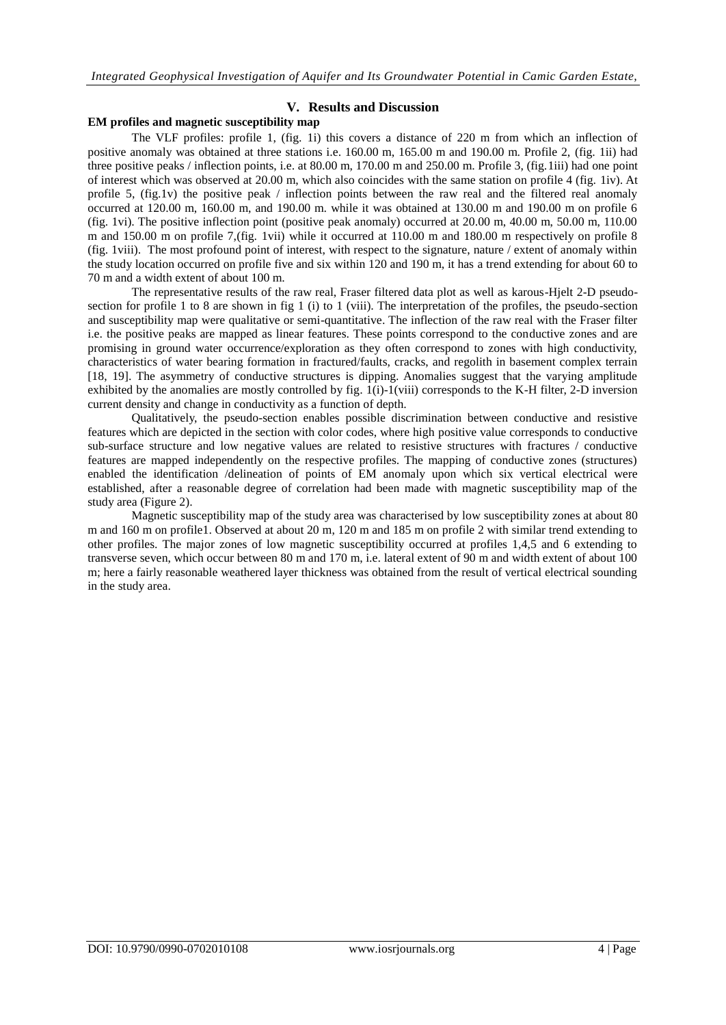### **V. Results and Discussion**

## **EM profiles and magnetic susceptibility map**

The VLF profiles: profile 1, (fig. 1i) this covers a distance of 220 m from which an inflection of positive anomaly was obtained at three stations i.e. 160.00 m, 165.00 m and 190.00 m. Profile 2, (fig. 1ii) had three positive peaks / inflection points, i.e. at 80.00 m, 170.00 m and 250.00 m. Profile 3, (fig.1iii) had one point of interest which was observed at 20.00 m, which also coincides with the same station on profile 4 (fig. 1iv). At profile 5, (fig.1v) the positive peak / inflection points between the raw real and the filtered real anomaly occurred at 120.00 m, 160.00 m, and 190.00 m. while it was obtained at 130.00 m and 190.00 m on profile 6 (fig. 1vi). The positive inflection point (positive peak anomaly) occurred at 20.00 m, 40.00 m, 50.00 m, 110.00 m and 150.00 m on profile 7,(fig. 1vii) while it occurred at 110.00 m and 180.00 m respectively on profile 8 (fig. 1viii). The most profound point of interest, with respect to the signature, nature / extent of anomaly within the study location occurred on profile five and six within 120 and 190 m, it has a trend extending for about 60 to 70 m and a width extent of about 100 m.

The representative results of the raw real, Fraser filtered data plot as well as karous-Hjelt 2-D pseudosection for profile 1 to 8 are shown in fig 1 (i) to 1 (viii). The interpretation of the profiles, the pseudo-section and susceptibility map were qualitative or semi-quantitative. The inflection of the raw real with the Fraser filter i.e. the positive peaks are mapped as linear features. These points correspond to the conductive zones and are promising in ground water occurrence/exploration as they often correspond to zones with high conductivity, characteristics of water bearing formation in fractured/faults, cracks, and regolith in basement complex terrain [18, 19]. The asymmetry of conductive structures is dipping. Anomalies suggest that the varying amplitude exhibited by the anomalies are mostly controlled by fig. 1(i)-1(viii) corresponds to the K-H filter, 2-D inversion current density and change in conductivity as a function of depth.

Qualitatively, the pseudo-section enables possible discrimination between conductive and resistive features which are depicted in the section with color codes, where high positive value corresponds to conductive sub-surface structure and low negative values are related to resistive structures with fractures / conductive features are mapped independently on the respective profiles. The mapping of conductive zones (structures) enabled the identification /delineation of points of EM anomaly upon which six vertical electrical were established, after a reasonable degree of correlation had been made with magnetic susceptibility map of the study area (Figure 2).

Magnetic susceptibility map of the study area was characterised by low susceptibility zones at about 80 m and 160 m on profile1. Observed at about 20 m, 120 m and 185 m on profile 2 with similar trend extending to other profiles. The major zones of low magnetic susceptibility occurred at profiles 1,4,5 and 6 extending to transverse seven, which occur between 80 m and 170 m, i.e. lateral extent of 90 m and width extent of about 100 m; here a fairly reasonable weathered layer thickness was obtained from the result of vertical electrical sounding in the study area.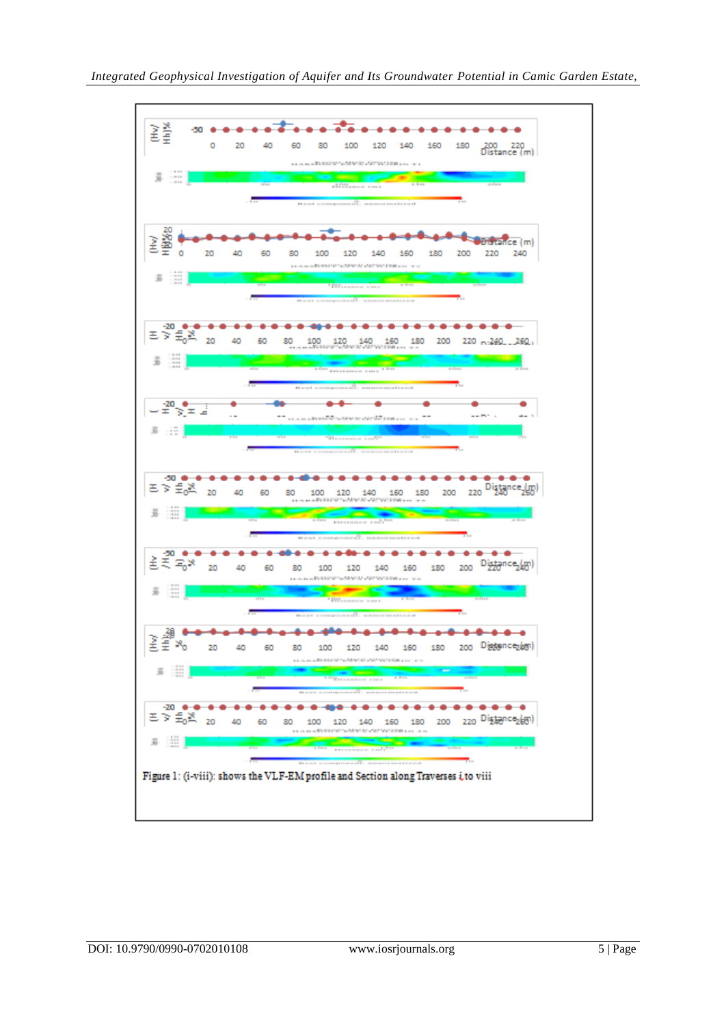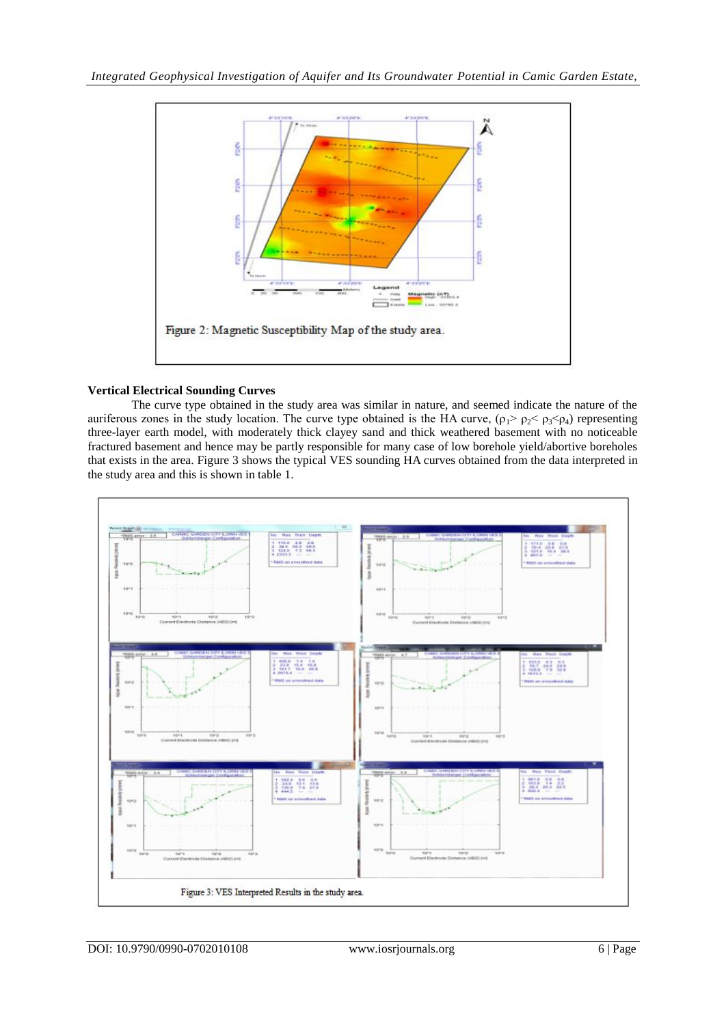

## **Vertical Electrical Sounding Curves**

The curve type obtained in the study area was similar in nature, and seemed indicate the nature of the auriferous zones in the study location. The curve type obtained is the HA curve,  $(\rho_1 > \rho_2 < \rho_3 < \rho_4)$  representing three-layer earth model, with moderately thick clayey sand and thick weathered basement with no noticeable fractured basement and hence may be partly responsible for many case of low borehole yield/abortive boreholes that exists in the area. Figure 3 shows the typical VES sounding HA curves obtained from the data interpreted in the study area and this is shown in table 1.

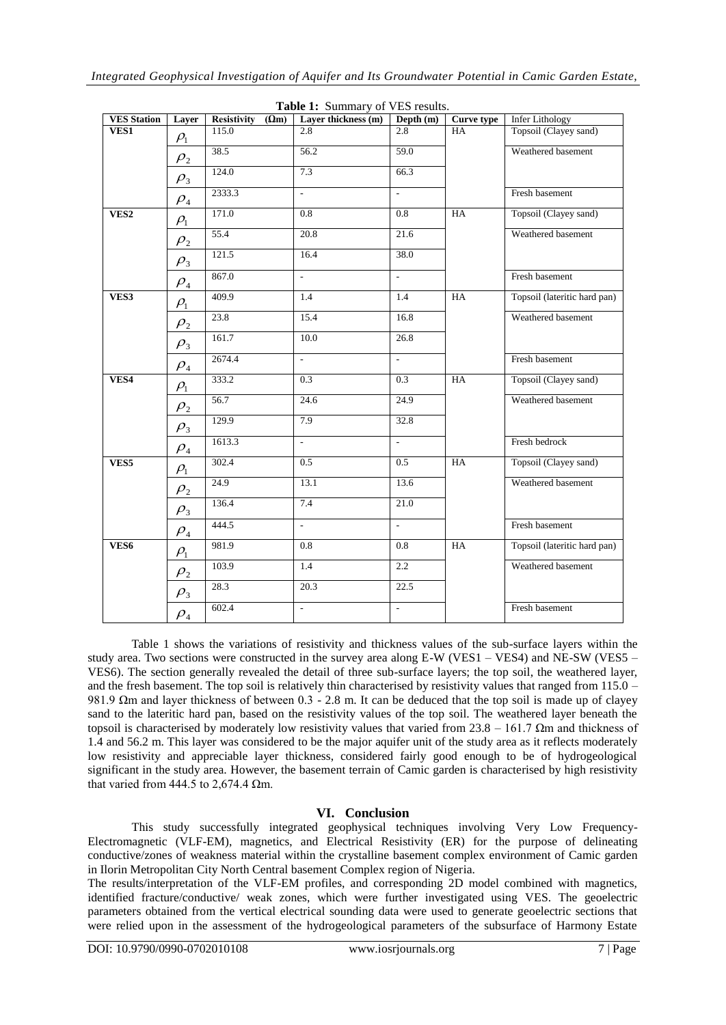| <b>VES Station</b> | Layer                            | Resistivity<br>$(\Omega m)$ | <b>rable 1.</b> Summary Or vest results.<br>Layer thickness (m) | Depth (m)                 | Curve type | <b>Infer Lithology</b>       |
|--------------------|----------------------------------|-----------------------------|-----------------------------------------------------------------|---------------------------|------------|------------------------------|
| VES1               | $\rho_{\!\scriptscriptstyle 1}$  | 115.0                       | 2.8                                                             | 2.8                       | <b>HA</b>  | Topsoil (Clayey sand)        |
|                    | $\rho_{\scriptscriptstyle 2}$    | 38.5                        | 56.2                                                            | 59.0                      |            | Weathered basement           |
|                    | $\rho_{3}$                       | 124.0                       | 7.3                                                             | 66.3                      |            |                              |
|                    | $\rho_{\scriptscriptstyle 4}$    | 2333.3                      | $\mathbb{Z}^{\mathbb{Z}}$                                       | ä,                        |            | Fresh basement               |
| VES <sub>2</sub>   | $\rho_{\text{\tiny{l}}}$         | 171.0                       | 0.8                                                             | 0.8                       | HA         | Topsoil (Clayey sand)        |
|                    | $\rho_{2}$                       | 55.4                        | 20.8                                                            | 21.6                      |            | Weathered basement           |
|                    | $\rho_{3}$                       | 121.5                       | 16.4                                                            | 38.0                      |            |                              |
|                    | $\rho_{\scriptscriptstyle 4}$    | 867.0                       | $\mathcal{L}^{\mathcal{A}}$                                     | ÷.                        |            | Fresh basement               |
| VES3               | $\rho_{\text{\tiny{l}}}$         | 409.9                       | 1.4                                                             | 1.4                       | <b>HA</b>  | Topsoil (lateritic hard pan) |
|                    | $\rho_{2}$                       | 23.8                        | 15.4                                                            | 16.8                      |            | Weathered basement           |
|                    | $\rho_{3}$                       | 161.7                       | 10.0                                                            | 26.8                      |            |                              |
|                    | $\rho_{\scriptscriptstyle 4}$    | 2674.4                      | $\mathbb{Z}^{\mathbb{Z}}$                                       | $\mathbb{Z}^{\mathbb{Z}}$ |            | Fresh basement               |
| VES4               | $\rho_{\text{\tiny{l}}}$         | 333.2                       | 0.3                                                             | 0.3                       | HA         | Topsoil (Clayey sand)        |
|                    | $\rho_{2}$                       | 56.7                        | 24.6                                                            | 24.9                      |            | Weathered basement           |
|                    | $\rho_{3}$                       | 129.9                       | 7.9                                                             | 32.8                      |            |                              |
|                    | $\rho_{\scriptscriptstyle 4}$    | 1613.3                      | $\mathcal{L}$                                                   | $\overline{a}$            |            | Fresh bedrock                |
| VES5               | $\rho_{\!\scriptscriptstyle 1}$  | 302.4                       | 0.5                                                             | $\overline{0.5}$          | HA         | Topsoil (Clayey sand)        |
|                    | $\rho_{\scriptscriptstyle 2}^{}$ | 24.9                        | 13.1                                                            | 13.6                      |            | Weathered basement           |
|                    | $\rho_{3}$                       | 136.4                       | 7.4                                                             | 21.0                      |            |                              |
|                    | $\rho_{\scriptscriptstyle 4}$    | 444.5                       | $\mathcal{L}_{\mathcal{A}}$                                     | ä,                        |            | Fresh basement               |
| VES6               | $\rho_{\scriptscriptstyle 1}$    | 981.9                       | 0.8                                                             | 0.8                       | HA         | Topsoil (lateritic hard pan) |
|                    | $\rho_{2}$                       | 103.9                       | 1.4                                                             | $2.2^{\circ}$             |            | Weathered basement           |
|                    | $\rho_{3}$                       | 28.3                        | 20.3                                                            | 22.5                      |            |                              |
|                    | $\rho_{\scriptscriptstyle 4}$    | 602.4                       | $\overline{a}$                                                  | ÷,                        |            | Fresh basement               |

| <b>Table 1:</b> Summary of VES results. |  |
|-----------------------------------------|--|
|-----------------------------------------|--|

Table 1 shows the variations of resistivity and thickness values of the sub-surface layers within the study area. Two sections were constructed in the survey area along E-W (VES1 – VES4) and NE-SW (VES5 – VES6). The section generally revealed the detail of three sub-surface layers; the top soil, the weathered layer, and the fresh basement. The top soil is relatively thin characterised by resistivity values that ranged from 115.0 – 981.9 Ωm and layer thickness of between 0.3 - 2.8 m. It can be deduced that the top soil is made up of clayey sand to the lateritic hard pan, based on the resistivity values of the top soil. The weathered layer beneath the topsoil is characterised by moderately low resistivity values that varied from  $23.8 - 161.7 \Omega$ m and thickness of 1.4 and 56.2 m. This layer was considered to be the major aquifer unit of the study area as it reflects moderately low resistivity and appreciable layer thickness, considered fairly good enough to be of hydrogeological significant in the study area. However, the basement terrain of Camic garden is characterised by high resistivity that varied from 444.5 to 2,674.4  $\Omega$ m.

## **VI. Conclusion**

This study successfully integrated geophysical techniques involving Very Low Frequency-Electromagnetic (VLF-EM), magnetics, and Electrical Resistivity (ER) for the purpose of delineating conductive/zones of weakness material within the crystalline basement complex environment of Camic garden in Ilorin Metropolitan City North Central basement Complex region of Nigeria.

The results/interpretation of the VLF-EM profiles, and corresponding 2D model combined with magnetics, identified fracture/conductive/ weak zones, which were further investigated using VES. The geoelectric parameters obtained from the vertical electrical sounding data were used to generate geoelectric sections that were relied upon in the assessment of the hydrogeological parameters of the subsurface of Harmony Estate